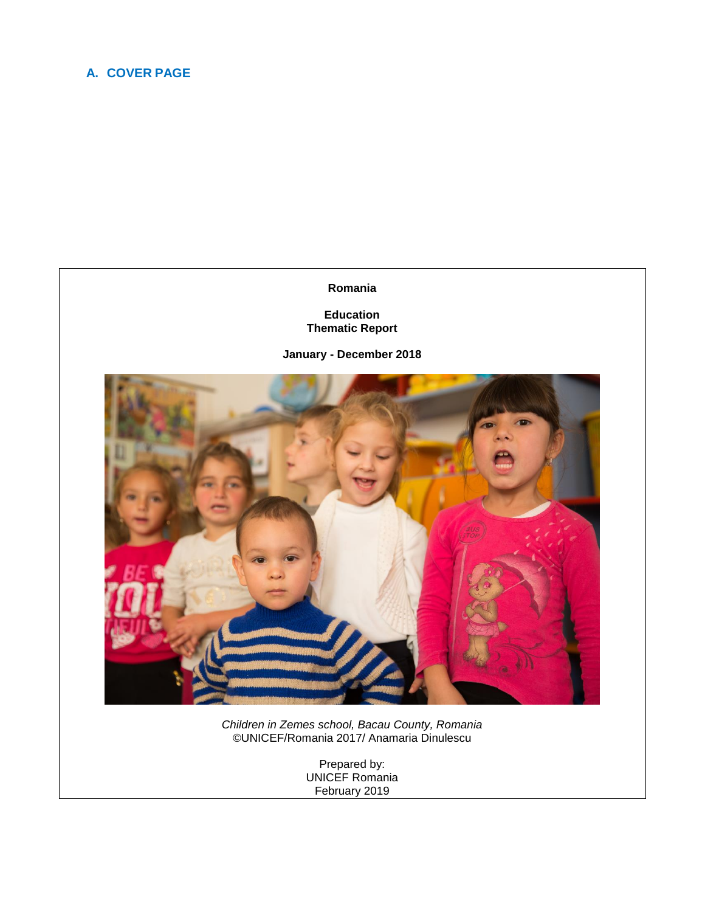# **A. COVER PAGE**

**Romania**

**Education Thematic Report**

**January - December 2018**



*Children in Zemes school, Bacau County, Romania* ©UNICEF/Romania 2017/ Anamaria Dinulescu

> Prepared by: UNICEF Romania February 2019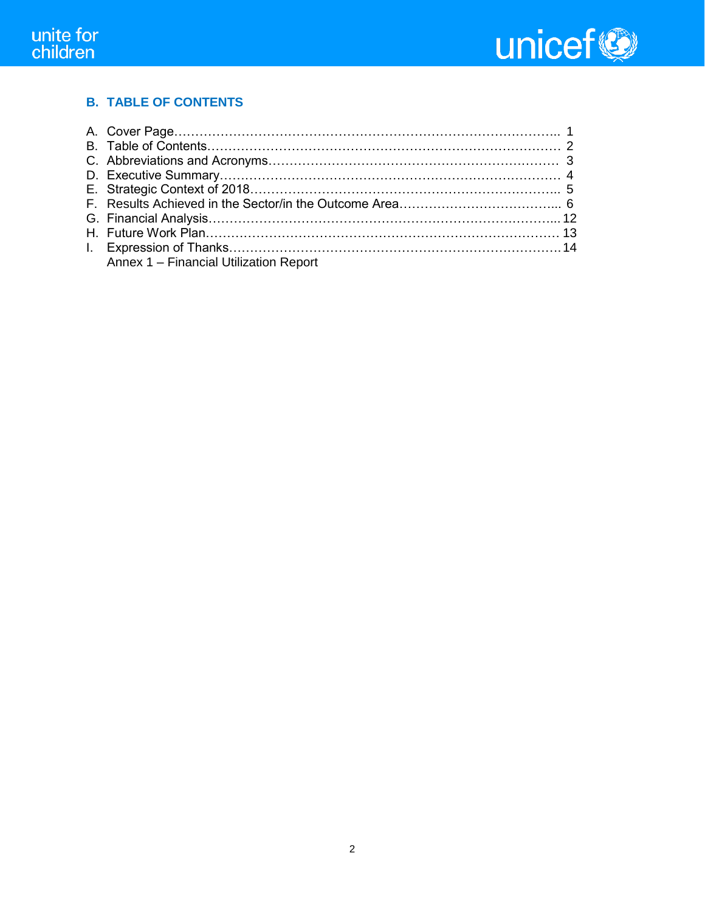

# **B. TABLE OF CONTENTS**

| Annex 1 - Financial Utilization Report |  |
|----------------------------------------|--|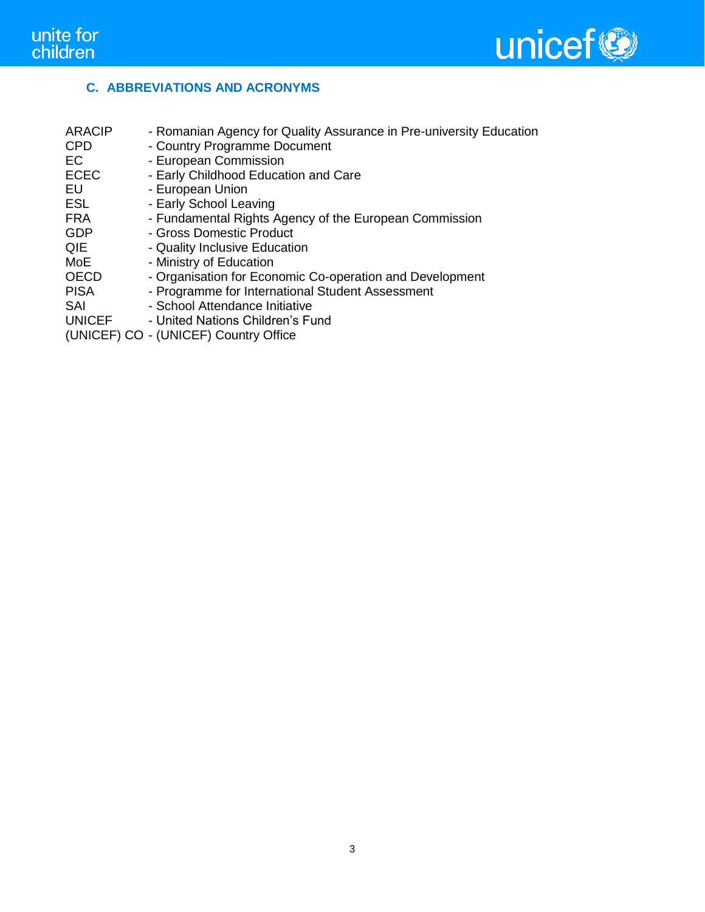

# **C. ABBREVIATIONS AND ACRONYMS**

| <b>ARACIP</b> | - Romanian Agency for Quality Assurance in Pre-university Education |
|---------------|---------------------------------------------------------------------|
| <b>CPD</b>    | - Country Programme Document                                        |
| EC            | - European Commission                                               |
| <b>ECEC</b>   | - Early Childhood Education and Care                                |
| EU            | - European Union                                                    |
| <b>ESL</b>    | - Early School Leaving                                              |
| <b>FRA</b>    | - Fundamental Rights Agency of the European Commission              |
| <b>GDP</b>    | - Gross Domestic Product                                            |
| QIE           | - Quality Inclusive Education                                       |
| MoE           | - Ministry of Education                                             |
| <b>OECD</b>   | - Organisation for Economic Co-operation and Development            |
| <b>PISA</b>   | - Programme for International Student Assessment                    |
| SAI           | - School Attendance Initiative                                      |
| <b>UNICEF</b> | - United Nations Children's Fund                                    |

(UNICEF) CO - (UNICEF) Country Office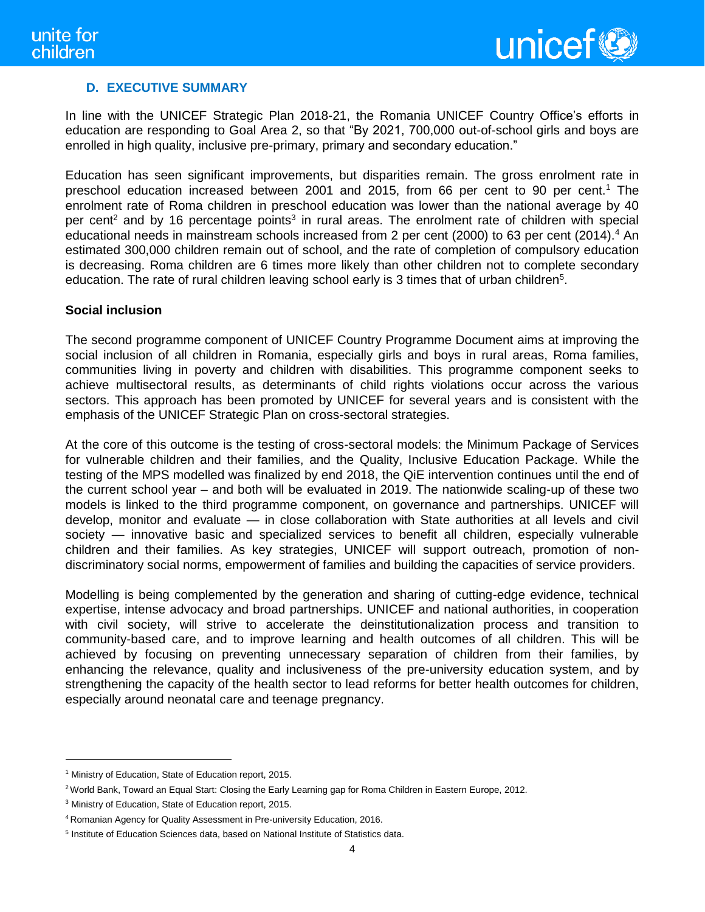

### **D. EXECUTIVE SUMMARY**

In line with the UNICEF Strategic Plan 2018-21, the Romania UNICEF Country Office's efforts in education are responding to Goal Area 2, so that "By 2021, 700,000 out-of-school girls and boys are enrolled in high quality, inclusive pre-primary, primary and secondary education."

Education has seen significant improvements, but disparities remain. The gross enrolment rate in preschool education increased between 2001 and 2015, from 66 per cent to 90 per cent.<sup>1</sup> The enrolment rate of Roma children in preschool education was lower than the national average by 40 per cent<sup>2</sup> and by 16 percentage points<sup>3</sup> in rural areas. The enrolment rate of children with special educational needs in mainstream schools increased from 2 per cent (2000) to 63 per cent (2014).<sup>4</sup> An estimated 300,000 children remain out of school, and the rate of completion of compulsory education is decreasing. Roma children are 6 times more likely than other children not to complete secondary education. The rate of rural children leaving school early is 3 times that of urban children $5$ .

### **Social inclusion**

The second programme component of UNICEF Country Programme Document aims at improving the social inclusion of all children in Romania, especially girls and boys in rural areas, Roma families, communities living in poverty and children with disabilities. This programme component seeks to achieve multisectoral results, as determinants of child rights violations occur across the various sectors. This approach has been promoted by UNICEF for several years and is consistent with the emphasis of the UNICEF Strategic Plan on cross-sectoral strategies.

At the core of this outcome is the testing of cross-sectoral models: the Minimum Package of Services for vulnerable children and their families, and the Quality, Inclusive Education Package. While the testing of the MPS modelled was finalized by end 2018, the QiE intervention continues until the end of the current school year – and both will be evaluated in 2019. The nationwide scaling-up of these two models is linked to the third programme component, on governance and partnerships. UNICEF will develop, monitor and evaluate — in close collaboration with State authorities at all levels and civil society — innovative basic and specialized services to benefit all children, especially vulnerable children and their families. As key strategies, UNICEF will support outreach, promotion of nondiscriminatory social norms, empowerment of families and building the capacities of service providers.

Modelling is being complemented by the generation and sharing of cutting-edge evidence, technical expertise, intense advocacy and broad partnerships. UNICEF and national authorities, in cooperation with civil society, will strive to accelerate the deinstitutionalization process and transition to community-based care, and to improve learning and health outcomes of all children. This will be achieved by focusing on preventing unnecessary separation of children from their families, by enhancing the relevance, quality and inclusiveness of the pre-university education system, and by strengthening the capacity of the health sector to lead reforms for better health outcomes for children, especially around neonatal care and teenage pregnancy.

 $\overline{a}$ 

<sup>1</sup> Ministry of Education, State of Education report, 2015.

<sup>&</sup>lt;sup>2</sup> World Bank, Toward an Equal Start: Closing the Early Learning gap for Roma Children in Eastern Europe, 2012.

<sup>3</sup> Ministry of Education, State of Education report, 2015.

<sup>4</sup> Romanian Agency for Quality Assessment in Pre-university Education, 2016.

<sup>&</sup>lt;sup>5</sup> Institute of Education Sciences data, based on National Institute of Statistics data.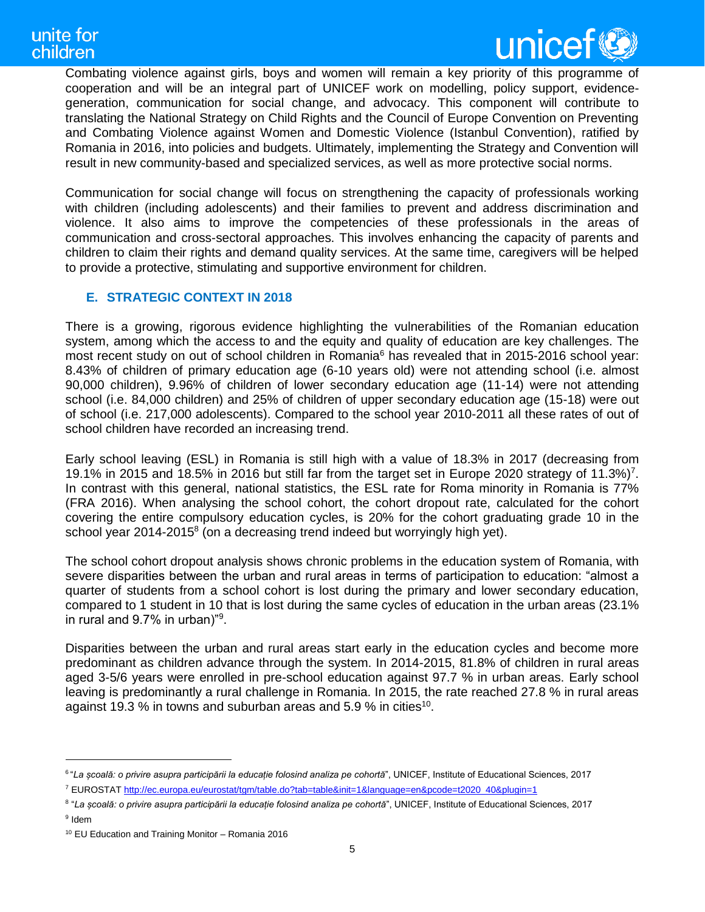# unicef

Combating violence against girls, boys and women will remain a key priority of this programme of cooperation and will be an integral part of UNICEF work on modelling, policy support, evidencegeneration, communication for social change, and advocacy. This component will contribute to translating the National Strategy on Child Rights and the Council of Europe Convention on Preventing and Combating Violence against Women and Domestic Violence (Istanbul Convention), ratified by Romania in 2016, into policies and budgets. Ultimately, implementing the Strategy and Convention will result in new community-based and specialized services, as well as more protective social norms.

Communication for social change will focus on strengthening the capacity of professionals working with children (including adolescents) and their families to prevent and address discrimination and violence. It also aims to improve the competencies of these professionals in the areas of communication and cross-sectoral approaches. This involves enhancing the capacity of parents and children to claim their rights and demand quality services. At the same time, caregivers will be helped to provide a protective, stimulating and supportive environment for children.

# **E. STRATEGIC CONTEXT IN 2018**

There is a growing, rigorous evidence highlighting the vulnerabilities of the Romanian education system, among which the access to and the equity and quality of education are key challenges. The most recent study on out of school children in Romania<sup>6</sup> has revealed that in 2015-2016 school year: 8.43% of children of primary education age (6-10 years old) were not attending school (i.e. almost 90,000 children), 9.96% of children of lower secondary education age (11-14) were not attending school (i.e. 84,000 children) and 25% of children of upper secondary education age (15-18) were out of school (i.e. 217,000 adolescents). Compared to the school year 2010-2011 all these rates of out of school children have recorded an increasing trend.

Early school leaving (ESL) in Romania is still high with a value of 18.3% in 2017 (decreasing from 19.1% in 2015 and 18.5% in 2016 but still far from the target set in Europe 2020 strategy of 11.3%)<sup>7</sup>. In contrast with this general, national statistics, the ESL rate for Roma minority in Romania is 77% (FRA 2016). When analysing the school cohort, the cohort dropout rate, calculated for the cohort covering the entire compulsory education cycles, is 20% for the cohort graduating grade 10 in the school year 2014-2015<sup>8</sup> (on a decreasing trend indeed but worryingly high yet).

The school cohort dropout analysis shows chronic problems in the education system of Romania, with severe disparities between the urban and rural areas in terms of participation to education: "almost a quarter of students from a school cohort is lost during the primary and lower secondary education, compared to 1 student in 10 that is lost during the same cycles of education in the urban areas (23.1% in rural and 9.7% in urban)"<sup>9</sup> .

Disparities between the urban and rural areas start early in the education cycles and become more predominant as children advance through the system. In 2014-2015, 81.8% of children in rural areas aged 3-5/6 years were enrolled in pre-school education against 97.7 % in urban areas. Early school leaving is predominantly a rural challenge in Romania. In 2015, the rate reached 27.8 % in rural areas against 19.3 % in towns and suburban areas and 5.9 % in cities<sup>10</sup>.

 $\overline{a}$ 

<sup>6</sup> "*La școală: o privire asupra participării la educație folosind analiza pe cohortă*", UNICEF, Institute of Educational Sciences, 2017

<sup>7</sup> EUROSTA[T http://ec.europa.eu/eurostat/tgm/table.do?tab=table&init=1&language=en&pcode=t2020\\_40&plugin=1](http://ec.europa.eu/eurostat/tgm/table.do?tab=table&init=1&language=en&pcode=t2020_40&plugin=1)

<sup>8</sup> "*La școală: o privire asupra participării la educație folosind analiza pe cohortă*", UNICEF, Institute of Educational Sciences, 2017 <sup>9</sup> Idem

<sup>10</sup> EU Education and Training Monitor – Romania 2016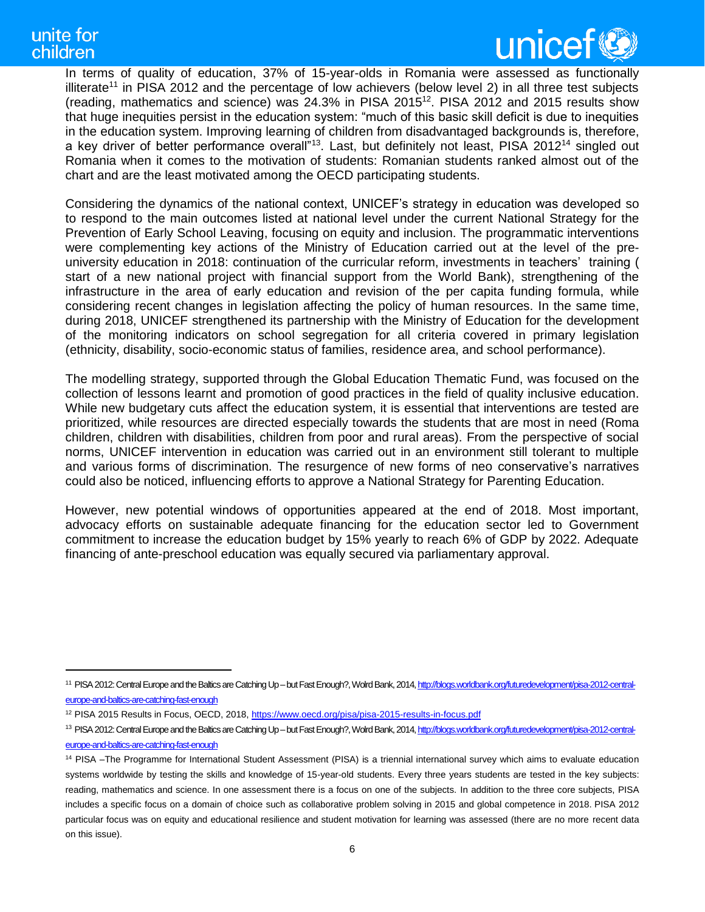# unite for children

 $\overline{a}$ 

# unicef

In terms of quality of education, 37% of 15-year-olds in Romania were assessed as functionally illiterate<sup>11</sup> in PISA 2012 and the percentage of low achievers (below level 2) in all three test subjects (reading, mathematics and science) was  $24.3\%$  in PISA  $2015^{12}$ . PISA 2012 and 2015 results show that huge inequities persist in the education system: "much of this basic skill deficit is due to inequities in the education system. Improving learning of children from disadvantaged backgrounds is, therefore, a key driver of better performance overall"<sup>13</sup>. Last, but definitely not least, PISA 2012<sup>14</sup> singled out Romania when it comes to the motivation of students: Romanian students ranked almost out of the chart and are the least motivated among the OECD participating students.

Considering the dynamics of the national context, UNICEF's strategy in education was developed so to respond to the main outcomes listed at national level under the current National Strategy for the Prevention of Early School Leaving, focusing on equity and inclusion. The programmatic interventions were complementing key actions of the Ministry of Education carried out at the level of the preuniversity education in 2018: continuation of the curricular reform, investments in teachers' training ( start of a new national project with financial support from the World Bank), strengthening of the infrastructure in the area of early education and revision of the per capita funding formula, while considering recent changes in legislation affecting the policy of human resources. In the same time, during 2018, UNICEF strengthened its partnership with the Ministry of Education for the development of the monitoring indicators on school segregation for all criteria covered in primary legislation (ethnicity, disability, socio-economic status of families, residence area, and school performance).

The modelling strategy, supported through the Global Education Thematic Fund, was focused on the collection of lessons learnt and promotion of good practices in the field of quality inclusive education. While new budgetary cuts affect the education system, it is essential that interventions are tested are prioritized, while resources are directed especially towards the students that are most in need (Roma children, children with disabilities, children from poor and rural areas). From the perspective of social norms, UNICEF intervention in education was carried out in an environment still tolerant to multiple and various forms of discrimination. The resurgence of new forms of neo conservative's narratives could also be noticed, influencing efforts to approve a National Strategy for Parenting Education.

However, new potential windows of opportunities appeared at the end of 2018. Most important, advocacy efforts on sustainable adequate financing for the education sector led to Government commitment to increase the education budget by 15% yearly to reach 6% of GDP by 2022. Adequate financing of ante-preschool education was equally secured via parliamentary approval.

<sup>&</sup>lt;sup>11</sup> PISA 2012: Central Europe and the Baltics are Catching Up – but Fast Enough?, Wolrd Bank, 2014[, http://blogs.worldbank.org/futuredevelopment/pisa-2012-central](http://blogs.worldbank.org/futuredevelopment/pisa-2012-central-europe-and-baltics-are-catching-fast-enough)[europe-and-baltics-are-catching-fast-enough](http://blogs.worldbank.org/futuredevelopment/pisa-2012-central-europe-and-baltics-are-catching-fast-enough)

<sup>&</sup>lt;sup>12</sup> PISA 2015 Results in Focus, OECD, 2018[, https://www.oecd.org/pisa/pisa-2015-results-in-focus.pdf](https://www.oecd.org/pisa/pisa-2015-results-in-focus.pdf)

<sup>&</sup>lt;sup>13</sup> PISA 2012: Central Europe and the Baltics are Catching Up – but Fast Enough?, Wolrd Bank, 2014[, http://blogs.worldbank.org/futuredevelopment/pisa-2012-central](http://blogs.worldbank.org/futuredevelopment/pisa-2012-central-europe-and-baltics-are-catching-fast-enough)[europe-and-baltics-are-catching-fast-enough](http://blogs.worldbank.org/futuredevelopment/pisa-2012-central-europe-and-baltics-are-catching-fast-enough)

<sup>&</sup>lt;sup>14</sup> PISA –The Programme for International Student Assessment (PISA) is a triennial international survey which aims to evaluate education systems worldwide by testing the skills and knowledge of 15-year-old students. Every three years students are tested in the key subjects: reading, mathematics and science. In one assessment there is a focus on one of the subjects. In addition to the three core subjects, PISA includes a specific focus on a domain of choice such as collaborative problem solving in 2015 and global competence in 2018. PISA 2012 particular focus was on equity and educational resilience and student motivation for learning was assessed (there are no more recent data on this issue).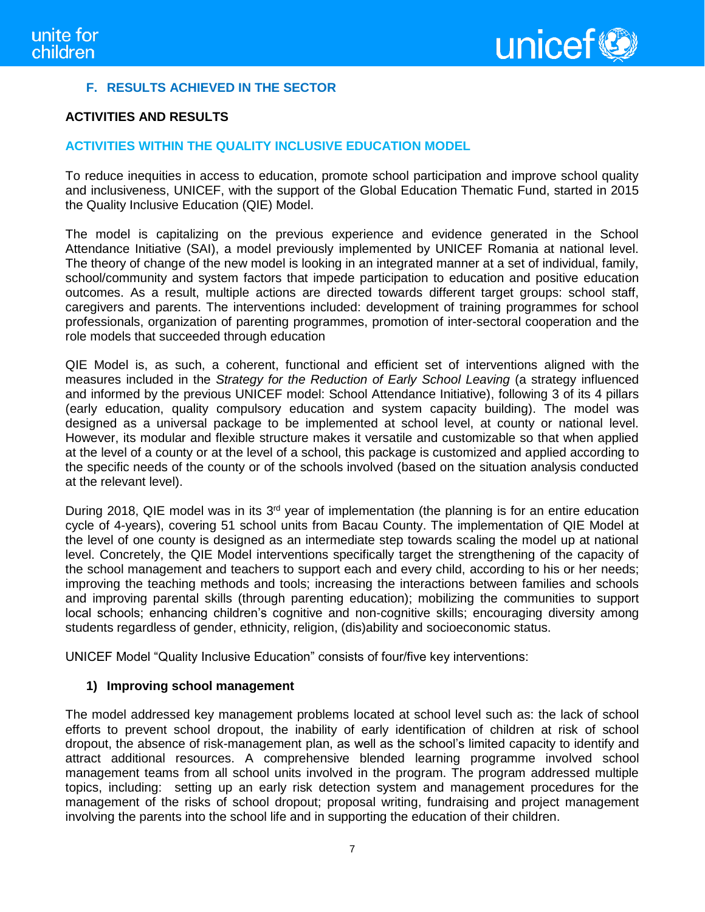

# **F. RESULTS ACHIEVED IN THE SECTOR**

### **ACTIVITIES AND RESULTS**

### **ACTIVITIES WITHIN THE QUALITY INCLUSIVE EDUCATION MODEL**

To reduce inequities in access to education, promote school participation and improve school quality and inclusiveness, UNICEF, with the support of the Global Education Thematic Fund, started in 2015 the Quality Inclusive Education (QIE) Model.

The model is capitalizing on the previous experience and evidence generated in the School Attendance Initiative (SAI), a model previously implemented by UNICEF Romania at national level. The theory of change of the new model is looking in an integrated manner at a set of individual, family, school/community and system factors that impede participation to education and positive education outcomes. As a result, multiple actions are directed towards different target groups: school staff, caregivers and parents. The interventions included: development of training programmes for school professionals, organization of parenting programmes, promotion of inter-sectoral cooperation and the role models that succeeded through education

QIE Model is, as such, a coherent, functional and efficient set of interventions aligned with the measures included in the *Strategy for the Reduction of Early School Leaving* (a strategy influenced and informed by the previous UNICEF model: School Attendance Initiative), following 3 of its 4 pillars (early education, quality compulsory education and system capacity building). The model was designed as a universal package to be implemented at school level, at county or national level. However, its modular and flexible structure makes it versatile and customizable so that when applied at the level of a county or at the level of a school, this package is customized and applied according to the specific needs of the county or of the schools involved (based on the situation analysis conducted at the relevant level).

During 2018, QIE model was in its 3<sup>rd</sup> year of implementation (the planning is for an entire education cycle of 4-years), covering 51 school units from Bacau County. The implementation of QIE Model at the level of one county is designed as an intermediate step towards scaling the model up at national level. Concretely, the QIE Model interventions specifically target the strengthening of the capacity of the school management and teachers to support each and every child, according to his or her needs; improving the teaching methods and tools; increasing the interactions between families and schools and improving parental skills (through parenting education); mobilizing the communities to support local schools; enhancing children's cognitive and non-cognitive skills; encouraging diversity among students regardless of gender, ethnicity, religion, (dis)ability and socioeconomic status.

UNICEF Model "Quality Inclusive Education" consists of four/five key interventions:

#### **1) Improving school management**

The model addressed key management problems located at school level such as: the lack of school efforts to prevent school dropout, the inability of early identification of children at risk of school dropout, the absence of risk-management plan, as well as the school's limited capacity to identify and attract additional resources. A comprehensive blended learning programme involved school management teams from all school units involved in the program. The program addressed multiple topics, including: setting up an early risk detection system and management procedures for the management of the risks of school dropout; proposal writing, fundraising and project management involving the parents into the school life and in supporting the education of their children.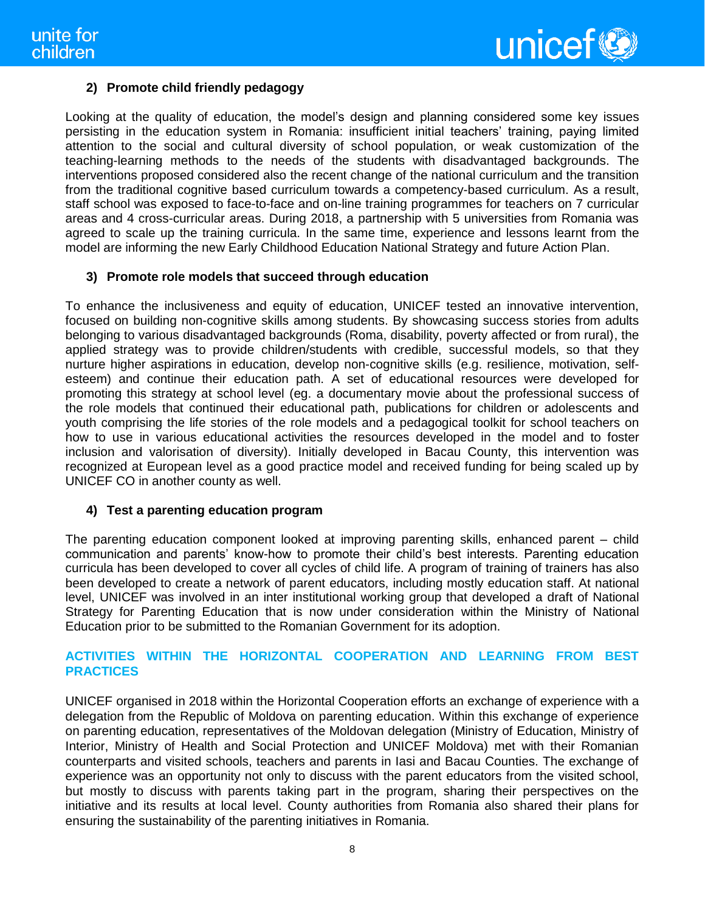

# **2) Promote child friendly pedagogy**

Looking at the quality of education, the model's design and planning considered some key issues persisting in the education system in Romania: insufficient initial teachers' training, paying limited attention to the social and cultural diversity of school population, or weak customization of the teaching-learning methods to the needs of the students with disadvantaged backgrounds. The interventions proposed considered also the recent change of the national curriculum and the transition from the traditional cognitive based curriculum towards a competency-based curriculum. As a result, staff school was exposed to face-to-face and on-line training programmes for teachers on 7 curricular areas and 4 cross-curricular areas. During 2018, a partnership with 5 universities from Romania was agreed to scale up the training curricula. In the same time, experience and lessons learnt from the model are informing the new Early Childhood Education National Strategy and future Action Plan.

### **3) Promote role models that succeed through education**

To enhance the inclusiveness and equity of education, UNICEF tested an innovative intervention, focused on building non-cognitive skills among students. By showcasing success stories from adults belonging to various disadvantaged backgrounds (Roma, disability, poverty affected or from rural), the applied strategy was to provide children/students with credible, successful models, so that they nurture higher aspirations in education, develop non-cognitive skills (e.g. resilience, motivation, selfesteem) and continue their education path. A set of educational resources were developed for promoting this strategy at school level (eg. a documentary movie about the professional success of the role models that continued their educational path, publications for children or adolescents and youth comprising the life stories of the role models and a pedagogical toolkit for school teachers on how to use in various educational activities the resources developed in the model and to foster inclusion and valorisation of diversity). Initially developed in Bacau County, this intervention was recognized at European level as a good practice model and received funding for being scaled up by UNICEF CO in another county as well.

# **4) Test a parenting education program**

The parenting education component looked at improving parenting skills, enhanced parent – child communication and parents' know-how to promote their child's best interests. Parenting education curricula has been developed to cover all cycles of child life. A program of training of trainers has also been developed to create a network of parent educators, including mostly education staff. At national level, UNICEF was involved in an inter institutional working group that developed a draft of National Strategy for Parenting Education that is now under consideration within the Ministry of National Education prior to be submitted to the Romanian Government for its adoption.

### **ACTIVITIES WITHIN THE HORIZONTAL COOPERATION AND LEARNING FROM BEST PRACTICES**

UNICEF organised in 2018 within the Horizontal Cooperation efforts an exchange of experience with a delegation from the Republic of Moldova on parenting education. Within this exchange of experience on parenting education, representatives of the Moldovan delegation (Ministry of Education, Ministry of Interior, Ministry of Health and Social Protection and UNICEF Moldova) met with their Romanian counterparts and visited schools, teachers and parents in Iasi and Bacau Counties. The exchange of experience was an opportunity not only to discuss with the parent educators from the visited school, but mostly to discuss with parents taking part in the program, sharing their perspectives on the initiative and its results at local level. County authorities from Romania also shared their plans for ensuring the sustainability of the parenting initiatives in Romania.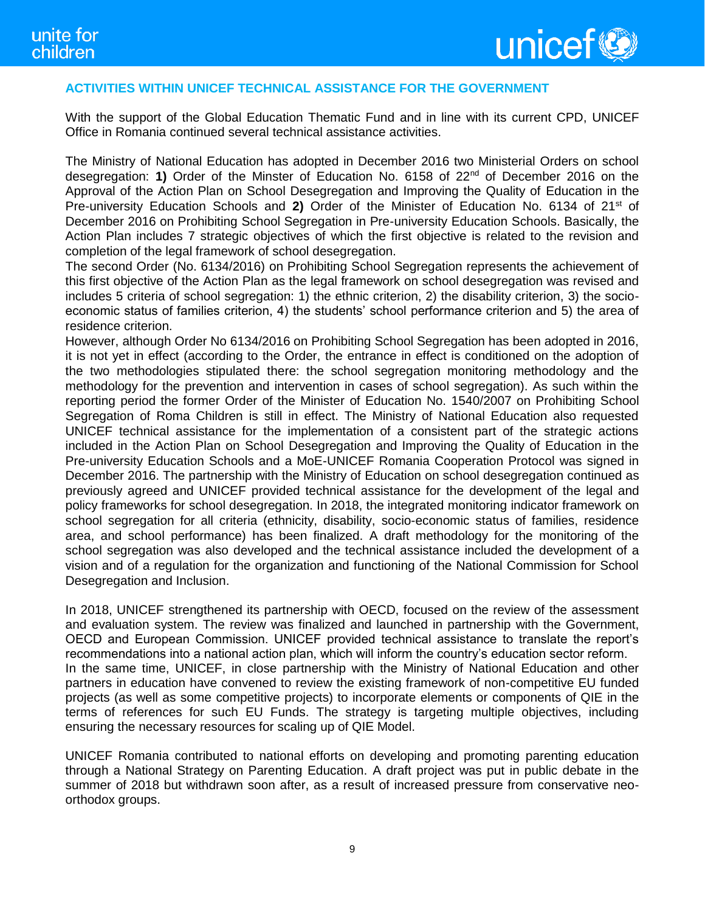

#### **ACTIVITIES WITHIN UNICEF TECHNICAL ASSISTANCE FOR THE GOVERNMENT**

With the support of the Global Education Thematic Fund and in line with its current CPD, UNICEF Office in Romania continued several technical assistance activities.

The Ministry of National Education has adopted in December 2016 two Ministerial Orders on school desegregation: 1) Order of the Minster of Education No. 6158 of 22<sup>nd</sup> of December 2016 on the Approval of the Action Plan on School Desegregation and Improving the Quality of Education in the Pre-university Education Schools and 2) Order of the Minister of Education No. 6134 of 21<sup>st</sup> of December 2016 on Prohibiting School Segregation in Pre-university Education Schools. Basically, the Action Plan includes 7 strategic objectives of which the first objective is related to the revision and completion of the legal framework of school desegregation.

The second Order (No. 6134/2016) on Prohibiting School Segregation represents the achievement of this first objective of the Action Plan as the legal framework on school desegregation was revised and includes 5 criteria of school segregation: 1) the ethnic criterion, 2) the disability criterion, 3) the socioeconomic status of families criterion, 4) the students' school performance criterion and 5) the area of residence criterion.

However, although Order No 6134/2016 on Prohibiting School Segregation has been adopted in 2016, it is not yet in effect (according to the Order, the entrance in effect is conditioned on the adoption of the two methodologies stipulated there: the school segregation monitoring methodology and the methodology for the prevention and intervention in cases of school segregation). As such within the reporting period the former Order of the Minister of Education No. 1540/2007 on Prohibiting School Segregation of Roma Children is still in effect. The Ministry of National Education also requested UNICEF technical assistance for the implementation of a consistent part of the strategic actions included in the Action Plan on School Desegregation and Improving the Quality of Education in the Pre-university Education Schools and a MoE-UNICEF Romania Cooperation Protocol was signed in December 2016. The partnership with the Ministry of Education on school desegregation continued as previously agreed and UNICEF provided technical assistance for the development of the legal and policy frameworks for school desegregation. In 2018, the integrated monitoring indicator framework on school segregation for all criteria (ethnicity, disability, socio-economic status of families, residence area, and school performance) has been finalized. A draft methodology for the monitoring of the school segregation was also developed and the technical assistance included the development of a vision and of a regulation for the organization and functioning of the National Commission for School Desegregation and Inclusion.

In 2018, UNICEF strengthened its partnership with OECD, focused on the review of the assessment and evaluation system. The review was finalized and launched in partnership with the Government, OECD and European Commission. UNICEF provided technical assistance to translate the report's recommendations into a national action plan, which will inform the country's education sector reform. In the same time, UNICEF, in close partnership with the Ministry of National Education and other partners in education have convened to review the existing framework of non-competitive EU funded projects (as well as some competitive projects) to incorporate elements or components of QIE in the terms of references for such EU Funds. The strategy is targeting multiple objectives, including ensuring the necessary resources for scaling up of QIE Model.

UNICEF Romania contributed to national efforts on developing and promoting parenting education through a National Strategy on Parenting Education. A draft project was put in public debate in the summer of 2018 but withdrawn soon after, as a result of increased pressure from conservative neoorthodox groups.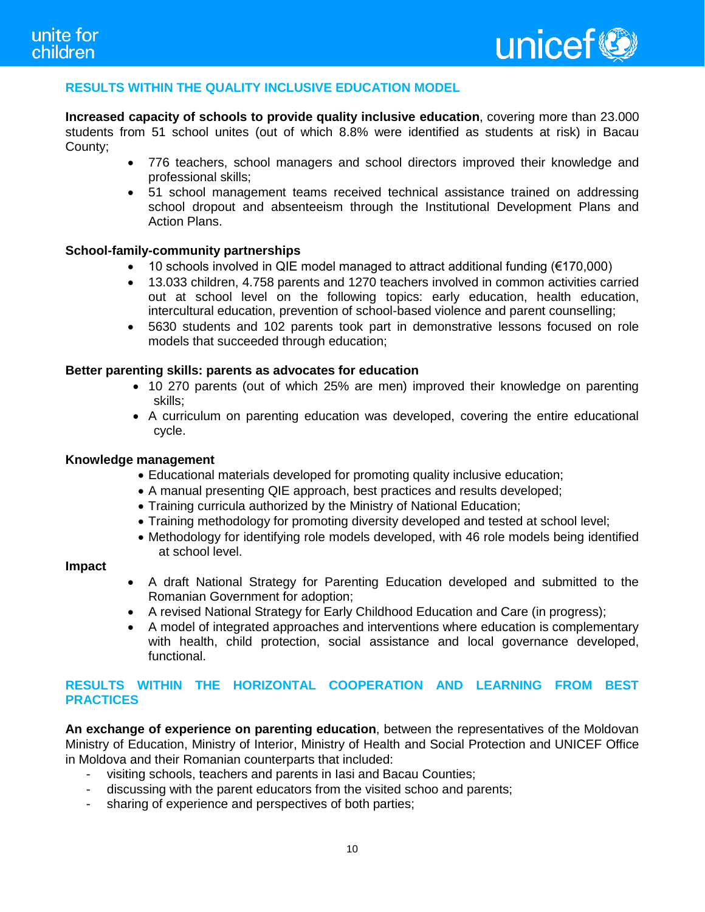

# **RESULTS WITHIN THE QUALITY INCLUSIVE EDUCATION MODEL**

**Increased capacity of schools to provide quality inclusive education**, covering more than 23.000 students from 51 school unites (out of which 8.8% were identified as students at risk) in Bacau County;

- 776 teachers, school managers and school directors improved their knowledge and professional skills;
- 51 school management teams received technical assistance trained on addressing school dropout and absenteeism through the Institutional Development Plans and Action Plans.

#### **School-family-community partnerships**

- 10 schools involved in QIE model managed to attract additional funding (€170,000)
- 13.033 children, 4.758 parents and 1270 teachers involved in common activities carried out at school level on the following topics: early education, health education, intercultural education, prevention of school-based violence and parent counselling;
- 5630 students and 102 parents took part in demonstrative lessons focused on role models that succeeded through education;

#### **Better parenting skills: parents as advocates for education**

- 10 270 parents (out of which 25% are men) improved their knowledge on parenting skills;
- A curriculum on parenting education was developed, covering the entire educational cycle.

#### **Knowledge management**

- Educational materials developed for promoting quality inclusive education;
- A manual presenting QIE approach, best practices and results developed;
- Training curricula authorized by the Ministry of National Education;
- Training methodology for promoting diversity developed and tested at school level;
- Methodology for identifying role models developed, with 46 role models being identified at school level.

#### **Impact**

- A draft National Strategy for Parenting Education developed and submitted to the Romanian Government for adoption;
- A revised National Strategy for Early Childhood Education and Care (in progress);
- A model of integrated approaches and interventions where education is complementary with health, child protection, social assistance and local governance developed, functional.

# **RESULTS WITHIN THE HORIZONTAL COOPERATION AND LEARNING FROM BEST PRACTICES**

**An exchange of experience on parenting education**, between the representatives of the Moldovan Ministry of Education, Ministry of Interior, Ministry of Health and Social Protection and UNICEF Office in Moldova and their Romanian counterparts that included:

- visiting schools, teachers and parents in Iasi and Bacau Counties;
- discussing with the parent educators from the visited schoo and parents;
- sharing of experience and perspectives of both parties;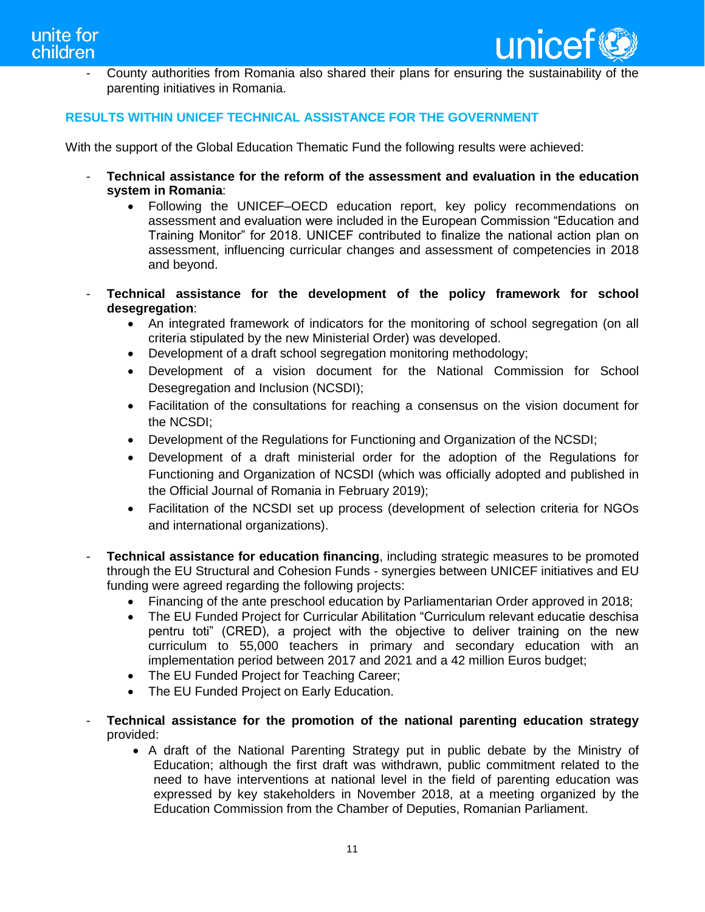- County authorities from Romania also shared their plans for ensuring the sustainability of the parenting initiatives in Romania.

# **RESULTS WITHIN UNICEF TECHNICAL ASSISTANCE FOR THE GOVERNMENT**

With the support of the Global Education Thematic Fund the following results were achieved:

- **Technical assistance for the reform of the assessment and evaluation in the education system in Romania**:
	- Following the UNICEF–OECD education report, key policy recommendations on assessment and evaluation were included in the European Commission "Education and Training Monitor" for 2018. UNICEF contributed to finalize the national action plan on assessment, influencing curricular changes and assessment of competencies in 2018 and beyond.
- **Technical assistance for the development of the policy framework for school desegregation**:
	- An integrated framework of indicators for the monitoring of school segregation (on all criteria stipulated by the new Ministerial Order) was developed.
	- Development of a draft school segregation monitoring methodology;
	- Development of a vision document for the National Commission for School Desegregation and Inclusion (NCSDI);
	- Facilitation of the consultations for reaching a consensus on the vision document for the NCSDI;
	- Development of the Regulations for Functioning and Organization of the NCSDI;
	- Development of a draft ministerial order for the adoption of the Regulations for Functioning and Organization of NCSDI (which was officially adopted and published in the Official Journal of Romania in February 2019);
	- Facilitation of the NCSDI set up process (development of selection criteria for NGOs and international organizations).
- **Technical assistance for education financing**, including strategic measures to be promoted through the EU Structural and Cohesion Funds - synergies between UNICEF initiatives and EU funding were agreed regarding the following projects:
	- Financing of the ante preschool education by Parliamentarian Order approved in 2018;
	- The EU Funded Project for Curricular Abilitation "Curriculum relevant educatie deschisa pentru toti" (CRED), a project with the objective to deliver training on the new curriculum to 55,000 teachers in primary and secondary education with an implementation period between 2017 and 2021 and a 42 million Euros budget;
	- The EU Funded Project for Teaching Career;
	- The EU Funded Project on Early Education.
- **Technical assistance for the promotion of the national parenting education strategy** provided:
	- A draft of the National Parenting Strategy put in public debate by the Ministry of Education; although the first draft was withdrawn, public commitment related to the need to have interventions at national level in the field of parenting education was expressed by key stakeholders in November 2018, at a meeting organized by the Education Commission from the Chamber of Deputies, Romanian Parliament.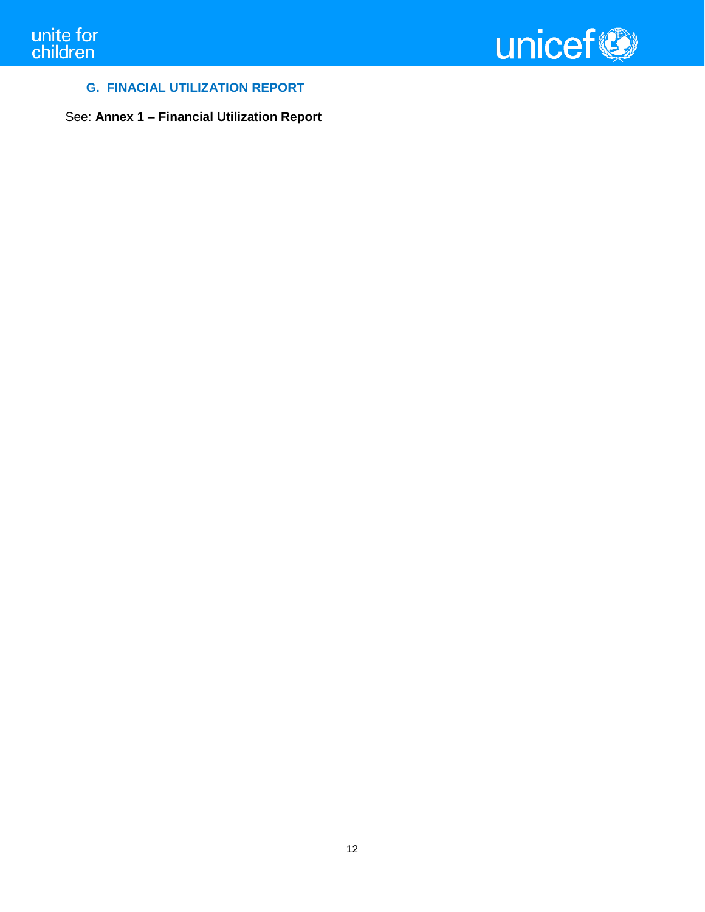

# **G. FINACIAL UTILIZATION REPORT**

See: **Annex 1 – Financial Utilization Report**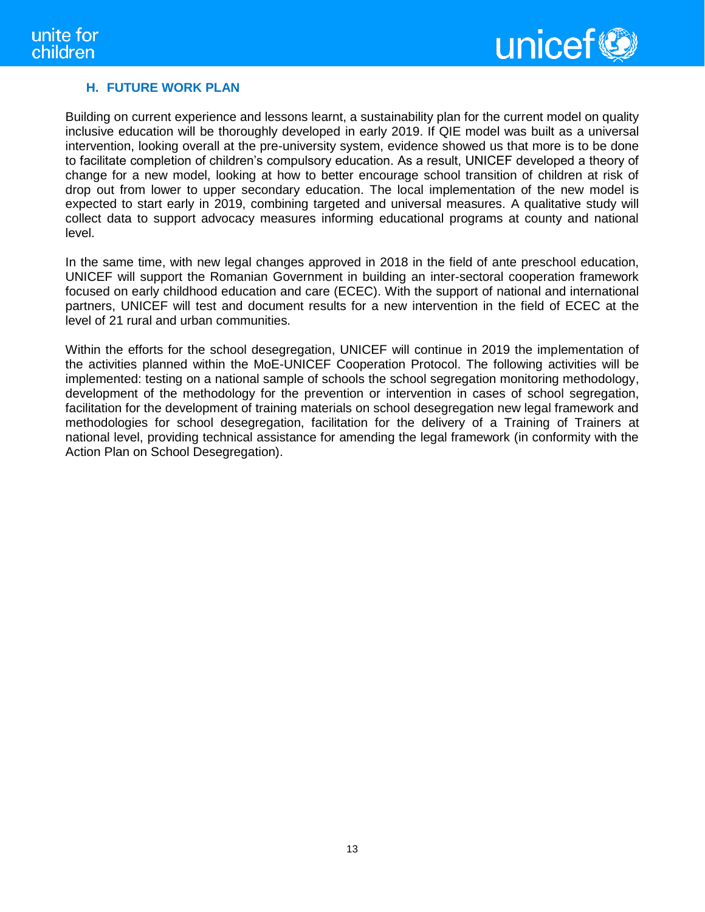

# **H. FUTURE WORK PLAN**

Building on current experience and lessons learnt, a sustainability plan for the current model on quality inclusive education will be thoroughly developed in early 2019. If QIE model was built as a universal intervention, looking overall at the pre-university system, evidence showed us that more is to be done to facilitate completion of children's compulsory education. As a result, UNICEF developed a theory of change for a new model, looking at how to better encourage school transition of children at risk of drop out from lower to upper secondary education. The local implementation of the new model is expected to start early in 2019, combining targeted and universal measures. A qualitative study will collect data to support advocacy measures informing educational programs at county and national level.

In the same time, with new legal changes approved in 2018 in the field of ante preschool education, UNICEF will support the Romanian Government in building an inter-sectoral cooperation framework focused on early childhood education and care (ECEC). With the support of national and international partners, UNICEF will test and document results for a new intervention in the field of ECEC at the level of 21 rural and urban communities.

Within the efforts for the school desegregation, UNICEF will continue in 2019 the implementation of the activities planned within the MoE-UNICEF Cooperation Protocol. The following activities will be implemented: testing on a national sample of schools the school segregation monitoring methodology, development of the methodology for the prevention or intervention in cases of school segregation, facilitation for the development of training materials on school desegregation new legal framework and methodologies for school desegregation, facilitation for the delivery of a Training of Trainers at national level, providing technical assistance for amending the legal framework (in conformity with the Action Plan on School Desegregation).